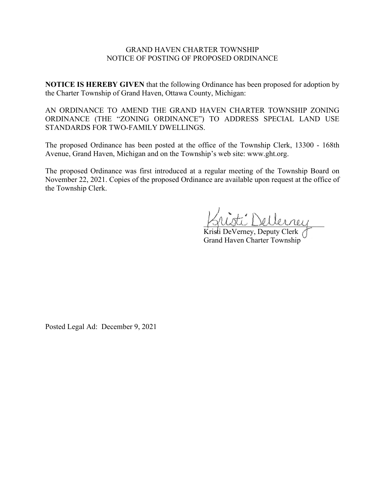#### GRAND HAVEN CHARTER TOWNSHIP NOTICE OF POSTING OF PROPOSED ORDINANCE

**NOTICE IS HEREBY GIVEN** that the following Ordinance has been proposed for adoption by the Charter Township of Grand Haven, Ottawa County, Michigan:

AN ORDINANCE TO AMEND THE GRAND HAVEN CHARTER TOWNSHIP ZONING ORDINANCE (THE "ZONING ORDINANCE") TO ADDRESS SPECIAL LAND USE STANDARDS FOR TWO-FAMILY DWELLINGS.

The proposed Ordinance has been posted at the office of the Township Clerk, 13300 - 168th Avenue, Grand Haven, Michigan and on the Township's web site: www.ght.org.

The proposed Ordinance was first introduced at a regular meeting of the Township Board on November 22, 2021. Copies of the proposed Ordinance are available upon request at the office of the Township Clerk.

 $\vec{r}$  Dellerrey

Kristi DeVerney, Deputy Clerk ( Grand Haven Charter Township

Posted Legal Ad: December 9, 2021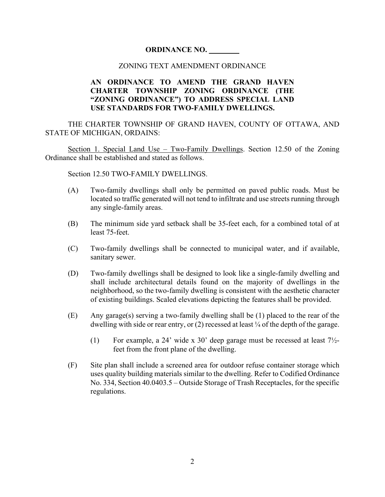## **ORDINANCE NO. \_\_\_\_\_\_\_\_**

#### ZONING TEXT AMENDMENT ORDINANCE

### **AN ORDINANCE TO AMEND THE GRAND HAVEN CHARTER TOWNSHIP ZONING ORDINANCE (THE "ZONING ORDINANCE") TO ADDRESS SPECIAL LAND USE STANDARDS FOR TWO-FAMILY DWELLINGS.**

THE CHARTER TOWNSHIP OF GRAND HAVEN, COUNTY OF OTTAWA, AND STATE OF MICHIGAN, ORDAINS:

Section 1. Special Land Use – Two-Family Dwellings. Section 12.50 of the Zoning Ordinance shall be established and stated as follows.

Section 12.50 TWO-FAMILY DWELLINGS.

- (A) Two-family dwellings shall only be permitted on paved public roads. Must be located so traffic generated will not tend to infiltrate and use streets running through any single-family areas.
- (B) The minimum side yard setback shall be 35-feet each, for a combined total of at least 75-feet.
- (C) Two-family dwellings shall be connected to municipal water, and if available, sanitary sewer.
- (D) Two-family dwellings shall be designed to look like a single-family dwelling and shall include architectural details found on the majority of dwellings in the neighborhood, so the two-family dwelling is consistent with the aesthetic character of existing buildings. Scaled elevations depicting the features shall be provided.
- (E) Any garage(s) serving a two-family dwelling shall be (1) placed to the rear of the dwelling with side or rear entry, or  $(2)$  recessed at least  $\frac{1}{4}$  of the depth of the garage.
	- (1) For example, a 24' wide x 30' deep garage must be recessed at least  $7\frac{1}{2}$ feet from the front plane of the dwelling.
- (F) Site plan shall include a screened area for outdoor refuse container storage which uses quality building materials similar to the dwelling. Refer to Codified Ordinance No. 334, Section 40.0403.5 – Outside Storage of Trash Receptacles, for the specific regulations.